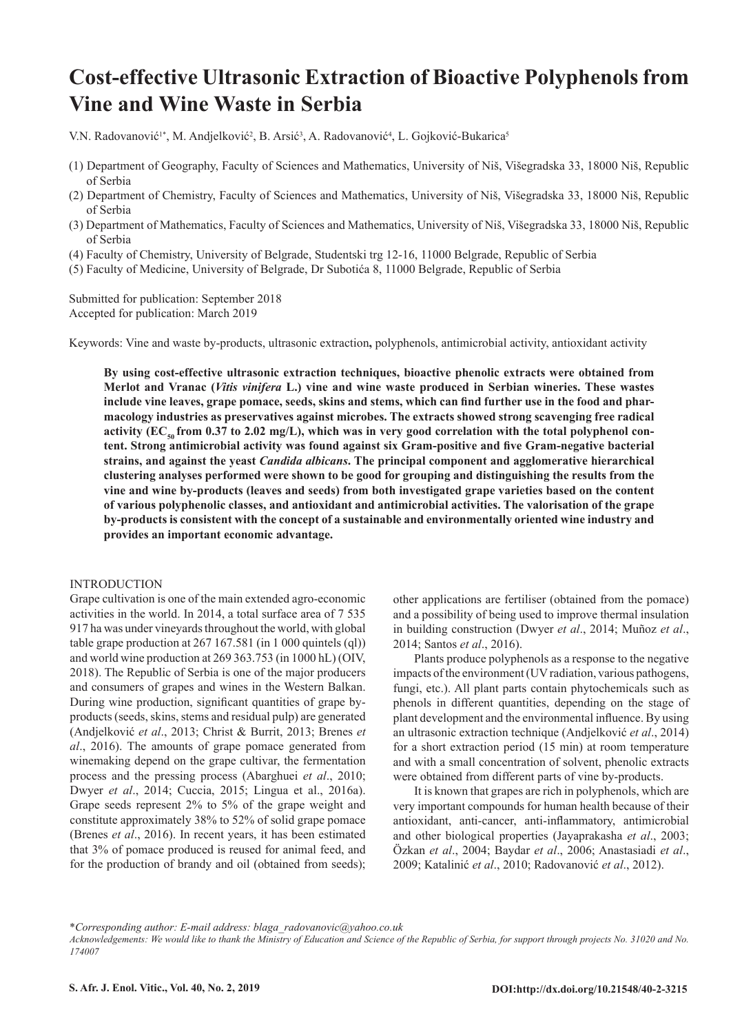# **Cost-effective Ultrasonic Extraction of Bioactive Polyphenols from Vine and Wine Waste in Serbia**

V.N. Radovanović<sup>1\*</sup>, M. Andjelković<sup>2</sup>, B. Arsić<sup>3</sup>, A. Radovanović<sup>4</sup>, L. Gojković-Bukarica<sup>5</sup>

- (1) Department of Geography, Faculty of Sciences and Mathematics, University of Niš, Višegradska 33, 18000 Niš, Republic of Serbia
- (2) Department of Chemistry, Faculty of Sciences and Mathematics, University of Niš, Višegradska 33, 18000 Niš, Republic of Serbia
- (3) Department of Mathematics, Faculty of Sciences and Mathematics, University of Niš, Višegradska 33, 18000 Niš, Republic of Serbia
- (4) Faculty of Chemistry, University of Belgrade, Studentski trg 12-16, 11000 Belgrade, Republic of Serbia
- (5) Faculty of Medicine, University of Belgrade, Dr Subotića 8, 11000 Belgrade, Republic of Serbia

Submitted for publication: September 2018 Accepted for publication: March 2019

Keywords: Vine and waste by-products, ultrasonic extraction**,** polyphenols, antimicrobial activity, antioxidant activity

**By using cost-effective ultrasonic extraction techniques, bioactive phenolic extracts were obtained from Merlot and Vranac (***Vitis vinifera* **L.) vine and wine waste produced in Serbian wineries. These wastes include vine leaves, grape pomace, seeds, skins and stems, which can find further use in the food and pharmacology industries as preservatives against microbes. The extracts showed strong scavenging free radical**  activity (EC<sub>50</sub> from 0.37 to 2.02 mg/L), which was in very good correlation with the total polyphenol con**tent. Strong antimicrobial activity was found against six Gram-positive and five Gram-negative bacterial strains, and against the yeast** *Candida albicans***. The principal component and agglomerative hierarchical clustering analyses performed were shown to be good for grouping and distinguishing the results from the vine and wine by-products (leaves and seeds) from both investigated grape varieties based on the content of various polyphenolic classes, and antioxidant and antimicrobial activities. The valorisation of the grape by-products is consistent with the concept of a sustainable and environmentally oriented wine industry and provides an important economic advantage.** 

# INTRODUCTION

Grape cultivation is one of the main extended agro-economic activities in the world. In 2014, a total surface area of 7 535 917 ha was under vineyards throughout the world, with global table grape production at 267 167.581 (in 1 000 quintels (ql)) and world wine production at 269 363.753 (in 1000 hL) (OIV, 2018). The Republic of Serbia is one of the major producers and consumers of grapes and wines in the Western Balkan. During wine production, significant quantities of grape byproducts (seeds, skins, stems and residual pulp) are generated (Andjelković *et al*., 2013; Christ & Burrit, 2013; Brenes *et al*., 2016). The amounts of grape pomace generated from winemaking depend on the grape cultivar, the fermentation process and the pressing process (Abarghuei *et al*., 2010; Dwyer *et al*., 2014; Cuccia, 2015; Lingua et al., 2016a). Grape seeds represent 2% to 5% of the grape weight and constitute approximately 38% to 52% of solid grape pomace (Brenes *et al*., 2016). In recent years, it has been estimated that 3% of pomace produced is reused for animal feed, and for the production of brandy and oil (obtained from seeds); other applications are fertiliser (obtained from the pomace) and a possibility of being used to improve thermal insulation in building construction (Dwyer *et al*., 2014; Muñoz *et al*., 2014; Santos *et al*., 2016).

Plants produce polyphenols as a response to the negative impacts of the environment (UV radiation, various pathogens, fungi, etc.). All plant parts contain phytochemicals such as phenols in different quantities, depending on the stage of plant development and the environmental influence. By using an ultrasonic extraction technique (Andjelković *et al*., 2014) for a short extraction period (15 min) at room temperature and with a small concentration of solvent, phenolic extracts were obtained from different parts of vine by-products.

It is known that grapes are rich in polyphenols, which are very important compounds for human health because of their antioxidant, anti-cancer, anti-inflammatory, antimicrobial and other biological properties (Jayaprakasha *et al*., 2003; Özkan *et al*., 2004; Baydar *et al*., 2006; Anastasiadi *et al*., 2009; Katalinić *et al*., 2010; Radovanović *et al*., 2012).

<sup>\*</sup>*Corresponding author: E-mail address: blaga\_radovanovic@yahoo.co.uk*

*Acknowledgements: We would like to thank the Ministry of Education and Science of the Republic of Serbia, for support through projects No. 31020 and No. 174007*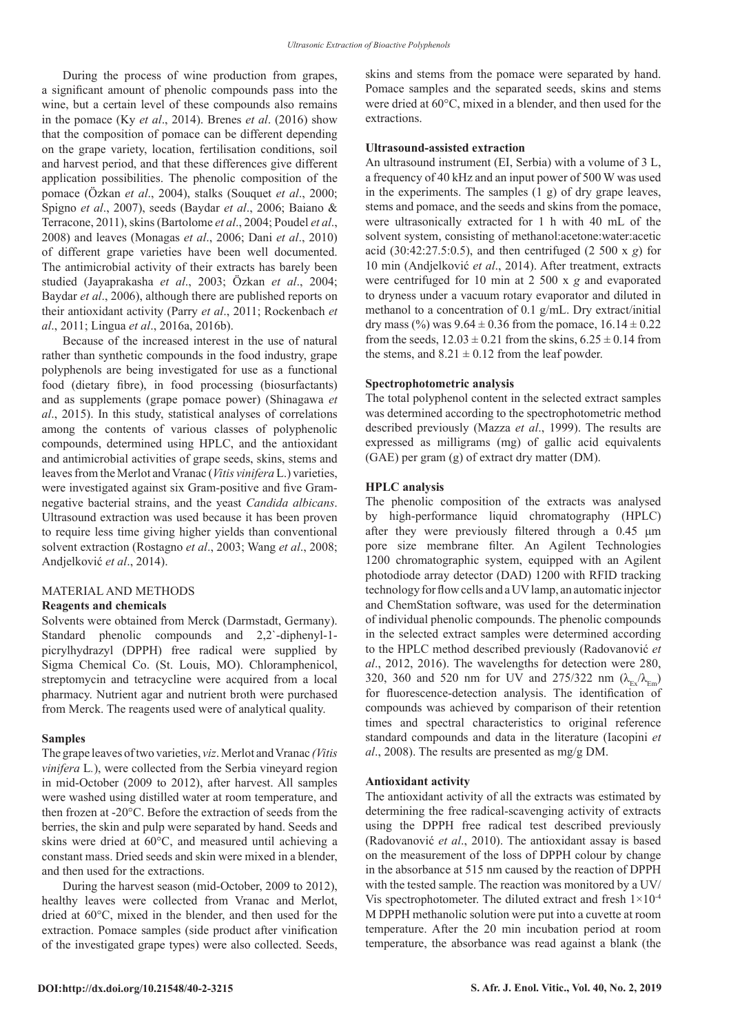During the process of wine production from grapes, a significant amount of phenolic compounds pass into the wine, but a certain level of these compounds also remains in the pomace (Ky *et al*., 2014). Brenes *et al*. (2016) show that the composition of pomace can be different depending on the grape variety, location, fertilisation conditions, soil and harvest period, and that these differences give different application possibilities. The phenolic composition of the pomace (Özkan *et al*., 2004), stalks (Souquet *et al*., 2000; Spigno *et al*., 2007), seeds (Baydar *et al*., 2006; Baiano & Terracone, 2011), skins (Bartolome *et al*., 2004; Poudel *et al*., 2008) and leaves (Monagas *et al*., 2006; Dani *et al*., 2010) of different grape varieties have been well documented. The antimicrobial activity of their extracts has barely been studied (Jayaprakasha *et al*., 2003; Özkan *et al*., 2004; Baydar *et al*., 2006), although there are published reports on their antioxidant activity (Parry *et al*., 2011; Rockenbach *et al*., 2011; Lingua *et al*., 2016a, 2016b).

Because of the increased interest in the use of natural rather than synthetic compounds in the food industry, grape polyphenols are being investigated for use as a functional food (dietary fibre), in food processing (biosurfactants) and as supplements (grape pomace power) (Shinagawa *et al*., 2015). In this study, statistical analyses of correlations among the contents of various classes of polyphenolic compounds, determined using HPLC, and the antioxidant and antimicrobial activities of grape seeds, skins, stems and leaves from the Merlot and Vranac (*Vitis vinifera* L.) varieties, were investigated against six Gram-positive and five Gramnegative bacterial strains, and the yeast *Candida albicans*. Ultrasound extraction was used because it has been proven to require less time giving higher yields than conventional solvent extraction (Rostagno *et al*., 2003; Wang *et al*., 2008; Andjelković *et al*., 2014).

# MATERIAL AND METHODS

#### **Reagents and chemicals**

Solvents were obtained from Merck (Darmstadt, Germany). Standard phenolic compounds and 2,2`-diphenyl-1 picrylhydrazyl (DPPH) free radical were supplied by Sigma Chemical Co. (St. Louis, MO). Chloramphenicol, streptomycin and tetracycline were acquired from a local pharmacy. Nutrient agar and nutrient broth were purchased from Merck. The reagents used were of analytical quality.

#### **Samples**

The grape leaves of two varieties, *viz*. Merlot and Vranac *(Vitis vinifera* L*.*), were collected from the Serbia vineyard region in mid-October (2009 to 2012), after harvest. All samples were washed using distilled water at room temperature, and then frozen at -20°C. Before the extraction of seeds from the berries, the skin and pulp were separated by hand. Seeds and skins were dried at 60°C, and measured until achieving a constant mass. Dried seeds and skin were mixed in a blender, and then used for the extractions.

During the harvest season (mid-October, 2009 to 2012), healthy leaves were collected from Vranac and Merlot, dried at 60°C, mixed in the blender, and then used for the extraction. Pomace samples (side product after vinification of the investigated grape types) were also collected. Seeds, skins and stems from the pomace were separated by hand. Pomace samples and the separated seeds, skins and stems were dried at 60°C, mixed in a blender, and then used for the extractions.

# **Ultrasound-assisted extraction**

An ultrasound instrument (EI, Serbia) with a volume of 3 L, a frequency of 40 kHz and an input power of 500 W was used in the experiments. The samples (1 g) of dry grape leaves, stems and pomace, and the seeds and skins from the pomace, were ultrasonically extracted for 1 h with 40 mL of the solvent system, consisting of methanol:acetone:water:acetic acid (30:42:27.5:0.5), and then centrifuged (2 500 x *g*) for 10 min (Andjelković *et al*., 2014). After treatment, extracts were centrifuged for 10 min at 2 500 x *g* and evaporated to dryness under a vacuum rotary evaporator and diluted in methanol to a concentration of 0.1 g/mL. Dry extract/initial dry mass (%) was  $9.64 \pm 0.36$  from the pomace,  $16.14 \pm 0.22$ from the seeds,  $12.03 \pm 0.21$  from the skins,  $6.25 \pm 0.14$  from the stems, and  $8.21 \pm 0.12$  from the leaf powder.

### **Spectrophotometric analysis**

The total polyphenol content in the selected extract samples was determined according to the spectrophotometric method described previously (Mazza *et al*., 1999). The results are expressed as milligrams (mg) of gallic acid equivalents (GAE) per gram (g) of extract dry matter (DM).

#### **HPLC analysis**

The phenolic composition of the extracts was analysed by high-performance liquid chromatography (HPLC) after they were previously filtered through a 0.45 μm pore size membrane filter. An Agilent Technologies 1200 chromatographic system, equipped with an Agilent photodiode array detector (DAD) 1200 with RFID tracking technology for flow cells and a UV lamp, an automatic injector and ChemStation software, was used for the determination of individual phenolic compounds. The phenolic compounds in the selected extract samples were determined according to the HPLC method described previously (Radovanović *et al*., 2012, 2016). The wavelengths for detection were 280, 320, 360 and 520 nm for UV and 275/322 nm  $(\lambda_{Ex}/\lambda_{Em})$ for fluorescence-detection analysis. The identification of compounds was achieved by comparison of their retention times and spectral characteristics to original reference standard compounds and data in the literature (Iacopini *et al*., 2008). The results are presented as mg/g DM.

#### **Antioxidant activity**

The antioxidant activity of all the extracts was estimated by determining the free radical-scavenging activity of extracts using the DPPH free radical test described previously (Radovanović *et al*., 2010). The antioxidant assay is based on the measurement of the loss of DPPH colour by change in the absorbance at 515 nm caused by the reaction of DPPH with the tested sample. The reaction was monitored by a UV/ Vis spectrophotometer. The diluted extract and fresh  $1\times10^{-4}$ M DPPH methanolic solution were put into a cuvette at room temperature. After the 20 min incubation period at room temperature, the absorbance was read against a blank (the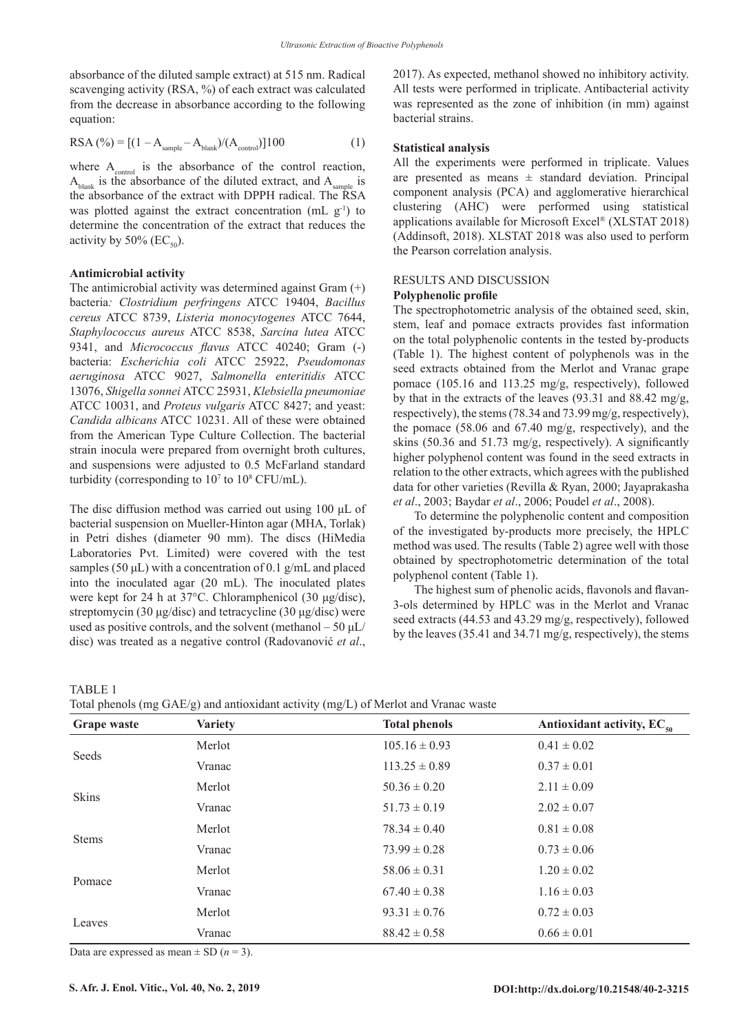absorbance of the diluted sample extract) at 515 nm. Radical scavenging activity (RSA, %) of each extract was calculated from the decrease in absorbance according to the following equation:

RSA (%) = [(1 – Asample – Ablank)/(Acontrol)]100 (1)

where  $A_{control}$  is the absorbance of the control reaction,  $A<sub>bin</sub>$  is the absorbance of the diluted extract, and  $A<sub>comple</sub>$  is the absorbance of the extract with DPPH radical. The RSA was plotted against the extract concentration (mL  $g^{-1}$ ) to determine the concentration of the extract that reduces the activity by 50% ( $EC_{50}$ ).

## **Antimicrobial activity**

The antimicrobial activity was determined against Gram (+) bacteria*: Clostridium perfringens* ATCC 19404, *Bacillus cereus* ATCC 8739, *Listeria monocytogenes* ATCC 7644, *Staphylococcus aureus* ATCC 8538, *Sarcina lutea* ATCC 9341, and *Micrococcus flavus* ATCC 40240; Gram (-) bacteria: *Escherichia coli* ATCC 25922, *Pseudomonas aeruginosa* ATCC 9027, *Salmonella enteritidis* ATCC 13076, *Shigella sonnei* ATCC 25931, *Klebsiella pneumoniae* ATCC 10031, and *Proteus vulgaris* ATCC 8427; and yeast: *Candida albicans* ATCC 10231. All of these were obtained from the American Type Culture Collection. The bacterial strain inocula were prepared from overnight broth cultures, and suspensions were adjusted to 0.5 McFarland standard turbidity (corresponding to  $10^7$  to  $10^8$  CFU/mL).

The disc diffusion method was carried out using 100 μL of bacterial suspension on Mueller-Hinton agar (MHA, Torlak) in Petri dishes (diameter 90 mm). The discs (HiMedia Laboratories Pvt. Limited) were covered with the test samples (50  $\mu$ L) with a concentration of 0.1 g/mL and placed into the inoculated agar (20 mL). The inoculated plates were kept for 24 h at 37°C. Chloramphenicol (30 μg/disc), streptomycin (30 μg/disc) and tetracycline (30 μg/disc) were used as positive controls, and the solvent (methanol  $-50 \mu L$ ) disc) was treated as a negative control (Radovanović *et al*.,

2017). As expected, methanol showed no inhibitory activity. All tests were performed in triplicate. Antibacterial activity was represented as the zone of inhibition (in mm) against bacterial strains.

# **Statistical analysis**

All the experiments were performed in triplicate. Values are presented as means  $\pm$  standard deviation. Principal component analysis (PCA) and agglomerative hierarchical clustering (AHC) were performed using statistical applications available for Microsoft Excel® (XLSTAT 2018) (Addinsoft, 2018). XLSTAT 2018 was also used to perform the Pearson correlation analysis.

# RESULTS AND DISCUSSION

### **Polyphenolic profile**

The spectrophotometric analysis of the obtained seed, skin, stem, leaf and pomace extracts provides fast information on the total polyphenolic contents in the tested by-products (Table 1). The highest content of polyphenols was in the seed extracts obtained from the Merlot and Vranac grape pomace (105.16 and 113.25 mg/g, respectively), followed by that in the extracts of the leaves (93.31 and 88.42 mg/g, respectively), the stems (78.34 and 73.99 mg/g, respectively), the pomace (58.06 and 67.40 mg/g, respectively), and the skins (50.36 and 51.73 mg/g, respectively). A significantly higher polyphenol content was found in the seed extracts in relation to the other extracts, which agrees with the published data for other varieties (Revilla & Ryan, 2000; Jayaprakasha *et al*., 2003; Baydar *et al*., 2006; Poudel *et al*., 2008).

To determine the polyphenolic content and composition of the investigated by-products more precisely, the HPLC method was used. The results (Table 2) agree well with those obtained by spectrophotometric determination of the total polyphenol content (Table 1).

The highest sum of phenolic acids, flavonols and flavan-3-ols determined by HPLC was in the Merlot and Vranac seed extracts (44.53 and 43.29 mg/g, respectively), followed by the leaves (35.41 and 34.71 mg/g, respectively), the stems

TABLE 1

Total phenols (mg GAE/g) and antioxidant activity (mg/L) of Merlot and Vranac waste

| Grape waste  | <b>Variety</b> | Total phenois (the Grad g) and antioxidant activity (the D) of Meriot and viamed waste<br><b>Total phenols</b> | Antioxidant activity, $EC_{50}$ |  |
|--------------|----------------|----------------------------------------------------------------------------------------------------------------|---------------------------------|--|
| Seeds        | Merlot         | $105.16 \pm 0.93$                                                                                              | $0.41 \pm 0.02$                 |  |
|              | Vranac         | $113.25 \pm 0.89$                                                                                              | $0.37 \pm 0.01$                 |  |
| Skins        | Merlot         | $50.36 \pm 0.20$                                                                                               | $2.11 \pm 0.09$                 |  |
|              | Vranac         | $51.73 \pm 0.19$                                                                                               | $2.02 \pm 0.07$                 |  |
|              | Merlot         | $78.34 \pm 0.40$                                                                                               | $0.81 \pm 0.08$                 |  |
| <b>Stems</b> | Vranac         | $73.99 \pm 0.28$                                                                                               | $0.73 \pm 0.06$                 |  |
| Pomace       | Merlot         | $58.06 \pm 0.31$                                                                                               | $1.20 \pm 0.02$                 |  |
|              | Vranac         | $67.40 \pm 0.38$                                                                                               | $1.16 \pm 0.03$                 |  |
|              | Merlot         | $93.31 \pm 0.76$                                                                                               | $0.72 \pm 0.03$                 |  |
| Leaves       | Vranac         | $88.42 \pm 0.58$                                                                                               | $0.66 \pm 0.01$                 |  |

Data are expressed as mean  $\pm$  SD ( $n = 3$ ).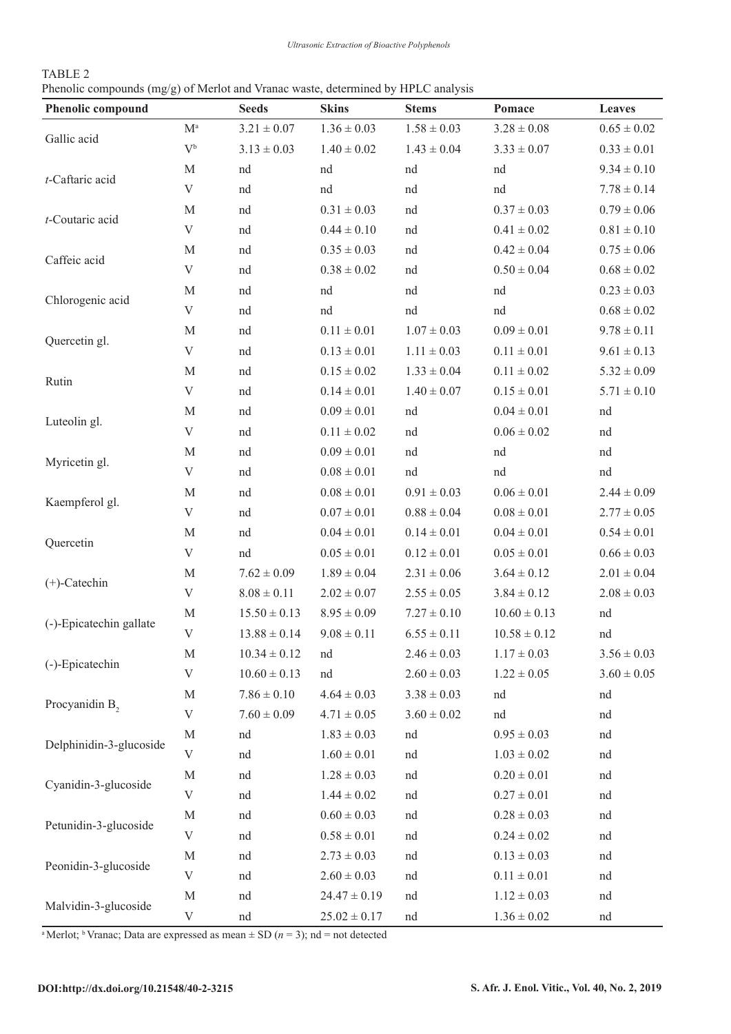| TABLE 2 |                                                                                   |
|---------|-----------------------------------------------------------------------------------|
|         | Phenolic compounds (mg/g) of Merlot and Vranac waste, determined by HPLC analysis |

| <b>Phenolic compound</b> |                           | <b>Seeds</b>     | <b>Skins</b>     | <b>Stems</b>    | Pomace           | Leaves          |
|--------------------------|---------------------------|------------------|------------------|-----------------|------------------|-----------------|
| Gallic acid              | $\mathbf{M}^{\text{a}}$   | $3.21 \pm 0.07$  | $1.36 \pm 0.03$  | $1.58 \pm 0.03$ | $3.28 \pm 0.08$  | $0.65 \pm 0.02$ |
|                          | $V^{\mathfrak{b}}$        | $3.13 \pm 0.03$  | $1.40\pm0.02$    | $1.43 \pm 0.04$ | $3.33 \pm 0.07$  | $0.33 \pm 0.01$ |
| t-Caftaric acid          | M                         | nd               | nd               | nd              | nd               | $9.34 \pm 0.10$ |
|                          | $\ensuremath{\mathbf{V}}$ | nd               | nd               | nd              | nd               | $7.78 \pm 0.14$ |
| t-Coutaric acid          | $\mathbf M$               | nd               | $0.31 \pm 0.03$  | nd              | $0.37 \pm 0.03$  | $0.79 \pm 0.06$ |
|                          | V                         | nd               | $0.44 \pm 0.10$  | nd              | $0.41 \pm 0.02$  | $0.81 \pm 0.10$ |
| Caffeic acid             | $\mathbf M$               | nd               | $0.35 \pm 0.03$  | nd              | $0.42 \pm 0.04$  | $0.75 \pm 0.06$ |
|                          | V                         | nd               | $0.38 \pm 0.02$  | nd              | $0.50 \pm 0.04$  | $0.68 \pm 0.02$ |
| Chlorogenic acid         | $\mathbf M$               | nd               | nd               | nd              | nd               | $0.23 \pm 0.03$ |
|                          | V                         | nd               | nd               | nd              | nd               | $0.68 \pm 0.02$ |
| Quercetin gl.            | $\mathbf M$               | nd               | $0.11 \pm 0.01$  | $1.07 \pm 0.03$ | $0.09 \pm 0.01$  | $9.78 \pm 0.11$ |
|                          | $\mathbf V$               | nd               | $0.13 \pm 0.01$  | $1.11 \pm 0.03$ | $0.11 \pm 0.01$  | $9.61 \pm 0.13$ |
| Rutin                    | $\mathbf M$               | nd               | $0.15 \pm 0.02$  | $1.33 \pm 0.04$ | $0.11 \pm 0.02$  | $5.32 \pm 0.09$ |
|                          | $\mathbf V$               | nd               | $0.14 \pm 0.01$  | $1.40 \pm 0.07$ | $0.15 \pm 0.01$  | $5.71 \pm 0.10$ |
| Luteolin gl.             | $\mathbf M$               | nd               | $0.09 \pm 0.01$  | nd              | $0.04 \pm 0.01$  | nd              |
|                          | $\ensuremath{\mathbf{V}}$ | nd               | $0.11 \pm 0.02$  | nd              | $0.06 \pm 0.02$  | nd              |
| Myricetin gl.            | $\mathbf M$               | nd               | $0.09 \pm 0.01$  | nd              | nd               | nd              |
|                          | $\mathbf V$               | nd               | $0.08 \pm 0.01$  | nd              | nd               | nd              |
| Kaempferol gl.           | $\mathbf M$               | nd               | $0.08 \pm 0.01$  | $0.91 \pm 0.03$ | $0.06 \pm 0.01$  | $2.44 \pm 0.09$ |
|                          | $\ensuremath{\mathbf{V}}$ | nd               | $0.07 \pm 0.01$  | $0.88 \pm 0.04$ | $0.08\pm0.01$    | $2.77 \pm 0.05$ |
| Quercetin                | $\mathbf M$               | nd               | $0.04 \pm 0.01$  | $0.14 \pm 0.01$ | $0.04 \pm 0.01$  | $0.54 \pm 0.01$ |
|                          | $\mathbf V$               | nd               | $0.05 \pm 0.01$  | $0.12 \pm 0.01$ | $0.05 \pm 0.01$  | $0.66 \pm 0.03$ |
| $(+)$ -Catechin          | $\mathbf M$               | $7.62 \pm 0.09$  | $1.89 \pm 0.04$  | $2.31 \pm 0.06$ | $3.64 \pm 0.12$  | $2.01 \pm 0.04$ |
|                          | V                         | $8.08 \pm 0.11$  | $2.02 \pm 0.07$  | $2.55 \pm 0.05$ | $3.84 \pm 0.12$  | $2.08 \pm 0.03$ |
| (-)-Epicatechin gallate  | M                         | $15.50 \pm 0.13$ | $8.95 \pm 0.09$  | $7.27 \pm 0.10$ | $10.60 \pm 0.13$ | nd              |
|                          | V                         | $13.88 \pm 0.14$ | $9.08 \pm 0.11$  | $6.55 \pm 0.11$ | $10.58 \pm 0.12$ | nd              |
| (-)-Epicatechin          | M                         | $10.34 \pm 0.12$ | nd               | $2.46 \pm 0.03$ | $1.17 \pm 0.03$  | $3.56 \pm 0.03$ |
|                          | V                         | $10.60 \pm 0.13$ | nd               | $2.60 \pm 0.03$ | $1.22 \pm 0.05$  | $3.60 \pm 0.05$ |
| Procyanidin B,           | $\mathbf M$               | $7.86 \pm 0.10$  | $4.64 \pm 0.03$  | $3.38 \pm 0.03$ | nd               | nd              |
|                          | $\ensuremath{\mathbf{V}}$ | $7.60 \pm 0.09$  | $4.71 \pm 0.05$  | $3.60 \pm 0.02$ | nd               | nd              |
| Delphinidin-3-glucoside  | $\mathbf M$               | nd               | $1.83 \pm 0.03$  | nd              | $0.95 \pm 0.03$  | nd              |
|                          | $\ensuremath{\mathbf{V}}$ | nd               | $1.60 \pm 0.01$  | nd              | $1.03 \pm 0.02$  | nd              |
| Cyanidin-3-glucoside     | M                         | nd               | $1.28 \pm 0.03$  | nd              | $0.20 \pm 0.01$  | nd              |
|                          | V                         | nd               | $1.44 \pm 0.02$  | nd              | $0.27 \pm 0.01$  | nd              |
| Petunidin-3-glucoside    | M                         | nd               | $0.60 \pm 0.03$  | nd              | $0.28 \pm 0.03$  | nd              |
|                          | $\ensuremath{\mathbf{V}}$ | nd               | $0.58 \pm 0.01$  | nd              | $0.24 \pm 0.02$  | nd              |
| Peonidin-3-glucoside     | M                         | nd               | $2.73 \pm 0.03$  | nd              | $0.13 \pm 0.03$  | nd              |
|                          | $\ensuremath{\mathbf{V}}$ | nd               | $2.60 \pm 0.03$  | nd              | $0.11 \pm 0.01$  | nd              |
| Malvidin-3-glucoside     | $\mathbf M$               | nd               | $24.47 \pm 0.19$ | nd              | $1.12 \pm 0.03$  | nd              |
|                          | V                         | nd               | $25.02 \pm 0.17$ | nd              | $1.36 \pm 0.02$  | nd              |

<sup>a</sup> Merlot; <sup>b</sup> Vranac; Data are expressed as mean  $\pm$  SD ( $n = 3$ ); nd = not detected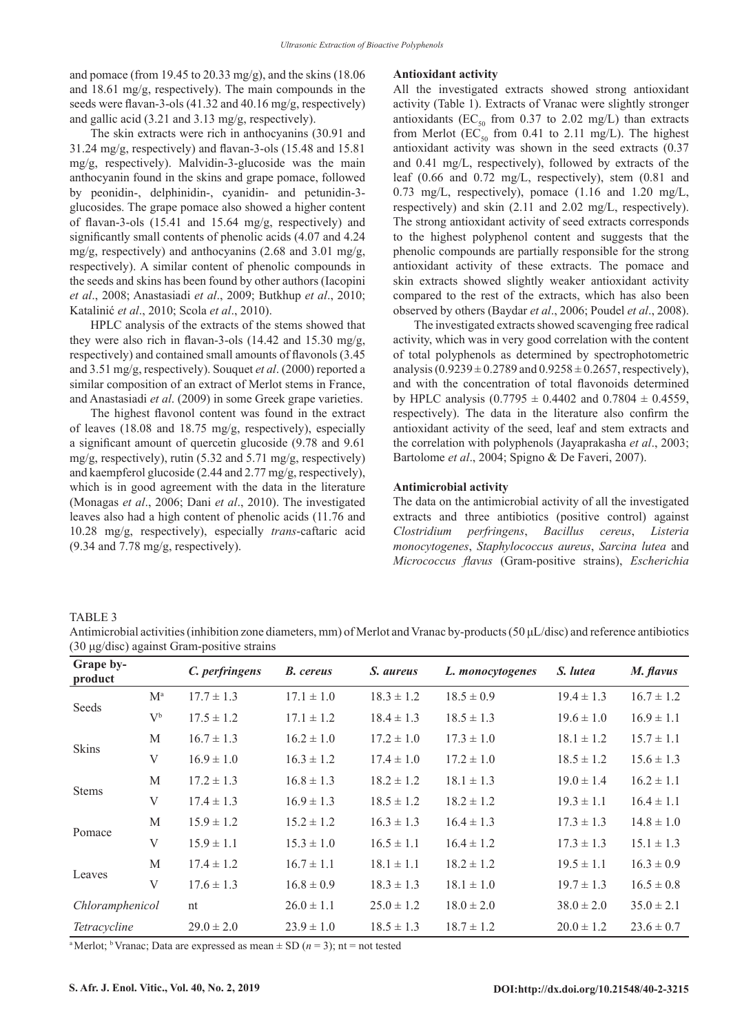and pomace (from 19.45 to 20.33 mg/g), and the skins (18.06 and 18.61 mg/g, respectively). The main compounds in the seeds were flavan-3-ols (41.32 and 40.16 mg/g, respectively) and gallic acid (3.21 and 3.13 mg/g, respectively).

The skin extracts were rich in anthocyanins (30.91 and 31.24 mg/g, respectively) and flavan-3-ols (15.48 and 15.81 mg/g, respectively). Malvidin-3-glucoside was the main anthocyanin found in the skins and grape pomace, followed by peonidin-, delphinidin-, cyanidin- and petunidin-3 glucosides. The grape pomace also showed a higher content of flavan-3-ols (15.41 and 15.64 mg/g, respectively) and significantly small contents of phenolic acids (4.07 and 4.24 mg/g, respectively) and anthocyanins (2.68 and 3.01 mg/g, respectively). A similar content of phenolic compounds in the seeds and skins has been found by other authors (Iacopini *et al*., 2008; Anastasiadi *et al*., 2009; Butkhup *et al*., 2010; Katalinić *et al*., 2010; Scola *et al*., 2010).

HPLC analysis of the extracts of the stems showed that they were also rich in flavan-3-ols (14.42 and 15.30 mg/g, respectively) and contained small amounts of flavonols (3.45 and 3.51 mg/g, respectively). Souquet *et al*. (2000) reported a similar composition of an extract of Merlot stems in France, and Anastasiadi *et al*. (2009) in some Greek grape varieties.

The highest flavonol content was found in the extract of leaves (18.08 and 18.75 mg/g, respectively), especially a significant amount of quercetin glucoside (9.78 and 9.61 mg/g, respectively), rutin (5.32 and 5.71 mg/g, respectively) and kaempferol glucoside (2.44 and 2.77 mg/g, respectively), which is in good agreement with the data in the literature (Monagas *et al*., 2006; Dani *et al*., 2010). The investigated leaves also had a high content of phenolic acids (11.76 and 10.28 mg/g, respectively), especially *trans*-caftaric acid (9.34 and 7.78 mg/g, respectively).

#### **Antioxidant activity**

All the investigated extracts showed strong antioxidant activity (Table 1). Extracts of Vranac were slightly stronger antioxidants (EC<sub>50</sub> from 0.37 to 2.02 mg/L) than extracts from Merlot (EC<sub>50</sub> from 0.41 to 2.11 mg/L). The highest antioxidant activity was shown in the seed extracts (0.37 and 0.41 mg/L, respectively), followed by extracts of the leaf (0.66 and 0.72 mg/L, respectively), stem (0.81 and 0.73 mg/L, respectively), pomace (1.16 and 1.20 mg/L, respectively) and skin (2.11 and 2.02 mg/L, respectively). The strong antioxidant activity of seed extracts corresponds to the highest polyphenol content and suggests that the phenolic compounds are partially responsible for the strong antioxidant activity of these extracts. The pomace and skin extracts showed slightly weaker antioxidant activity compared to the rest of the extracts, which has also been observed by others (Baydar *et al*., 2006; Poudel *et al*., 2008).

The investigated extracts showed scavenging free radical activity, which was in very good correlation with the content of total polyphenols as determined by spectrophotometric analysis  $(0.9239 \pm 0.2789$  and  $0.9258 \pm 0.2657$ , respectively), and with the concentration of total flavonoids determined by HPLC analysis  $(0.7795 \pm 0.4402$  and  $0.7804 \pm 0.4559$ , respectively). The data in the literature also confirm the antioxidant activity of the seed, leaf and stem extracts and the correlation with polyphenols (Jayaprakasha *et al*., 2003; Bartolome *et al*., 2004; Spigno & De Faveri, 2007).

#### **Antimicrobial activity**

The data on the antimicrobial activity of all the investigated extracts and three antibiotics (positive control) against *Clostridium perfringens*, *Bacillus cereus*, *Listeria monocytogenes*, *Staphylococcus aureus*, *Sarcina lutea* and *Micrococcus flavus* (Gram-positive strains), *Escherichia* 

# TABLE 3

Antimicrobial activities (inhibition zone diameters, mm) of Merlot and Vranac by-products (50 μL/disc) and reference antibiotics (30 μg/disc) against Gram-positive strains

| Grape by-<br>product |                    | C. perfringens | <b>B.</b> cereus | S. aureus      | L. monocytogenes | S. <i>lutea</i> | M. flavus      |
|----------------------|--------------------|----------------|------------------|----------------|------------------|-----------------|----------------|
| Seeds                | $M^a$              | $17.7 \pm 1.3$ | $17.1 \pm 1.0$   | $18.3 \pm 1.2$ | $18.5 \pm 0.9$   | $19.4 \pm 1.3$  | $16.7 \pm 1.2$ |
|                      | $V^{\mathfrak{b}}$ | $17.5 \pm 1.2$ | $17.1 \pm 1.2$   | $18.4 \pm 1.3$ | $18.5 \pm 1.3$   | $19.6 \pm 1.0$  | $16.9 \pm 1.1$ |
| <b>Skins</b>         | M                  | $16.7 \pm 1.3$ | $16.2 \pm 1.0$   | $17.2 \pm 1.0$ | $17.3 \pm 1.0$   | $18.1 \pm 1.2$  | $15.7 \pm 1.1$ |
|                      | V                  | $16.9 \pm 1.0$ | $16.3 \pm 1.2$   | $17.4 \pm 1.0$ | $17.2 \pm 1.0$   | $18.5 \pm 1.2$  | $15.6 \pm 1.3$ |
| <b>Stems</b>         | M                  | $17.2 \pm 1.3$ | $16.8 \pm 1.3$   | $18.2 \pm 1.2$ | $18.1 \pm 1.3$   | $19.0 \pm 1.4$  | $16.2 \pm 1.1$ |
|                      | $\mathbf V$        | $17.4 \pm 1.3$ | $16.9 \pm 1.3$   | $18.5 \pm 1.2$ | $18.2 \pm 1.2$   | $19.3 \pm 1.1$  | $16.4 \pm 1.1$ |
| Pomace               | M                  | $15.9 \pm 1.2$ | $15.2 \pm 1.2$   | $16.3 \pm 1.3$ | $16.4 \pm 1.3$   | $17.3 \pm 1.3$  | $14.8 \pm 1.0$ |
|                      | V                  | $15.9 \pm 1.1$ | $15.3 \pm 1.0$   | $16.5 \pm 1.1$ | $16.4 \pm 1.2$   | $17.3 \pm 1.3$  | $15.1 \pm 1.3$ |
| Leaves               | M                  | $17.4 \pm 1.2$ | $16.7 \pm 1.1$   | $18.1 \pm 1.1$ | $18.2 \pm 1.2$   | $19.5 \pm 1.1$  | $16.3 \pm 0.9$ |
|                      | V                  | $17.6 \pm 1.3$ | $16.8 \pm 0.9$   | $18.3 \pm 1.3$ | $18.1 \pm 1.0$   | $19.7 \pm 1.3$  | $16.5 \pm 0.8$ |
| Chloramphenicol      |                    | nt             | $26.0 \pm 1.1$   | $25.0 \pm 1.2$ | $18.0 \pm 2.0$   | $38.0 \pm 2.0$  | $35.0 \pm 2.1$ |
| Tetracycline         |                    | $29.0 \pm 2.0$ | $23.9 \pm 1.0$   | $18.5 \pm 1.3$ | $18.7 \pm 1.2$   | $20.0 \pm 1.2$  | $23.6 \pm 0.7$ |

<sup>a</sup> Merlot; <sup>b</sup> Vranac; Data are expressed as mean  $\pm$  SD ( $n = 3$ ); nt = not tested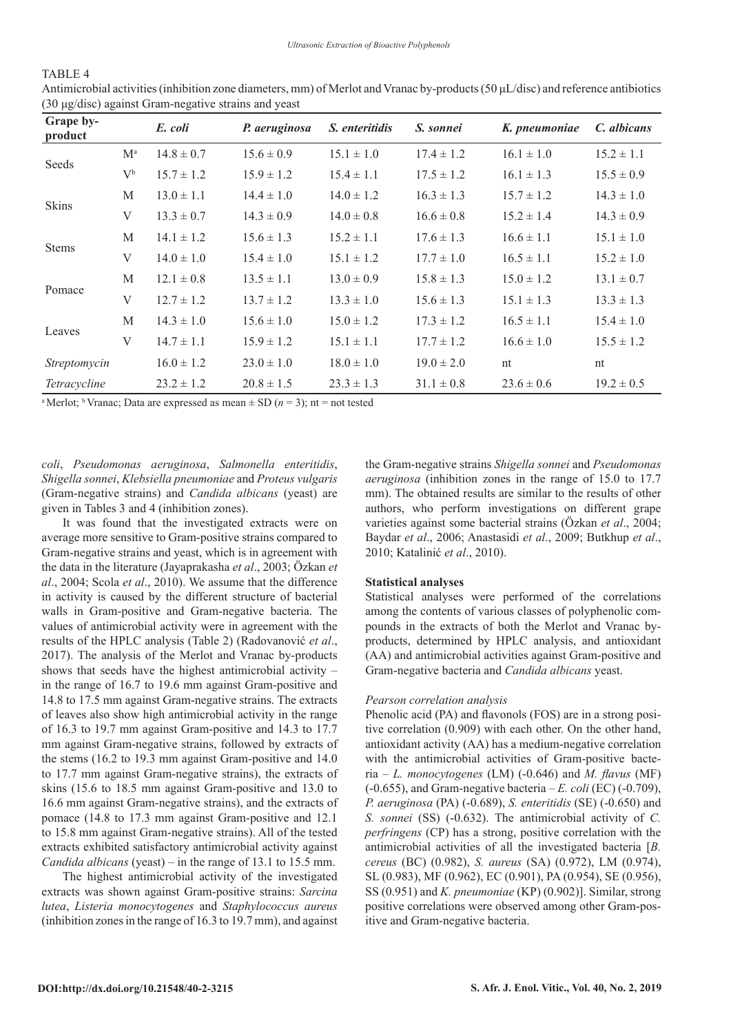# TABLE 4

| Grape by-<br>product |                    | E. coli        | P. aeruginosa  | S. enteritidis | S. sonnei      | K. pneumoniae  | C. albicans    |
|----------------------|--------------------|----------------|----------------|----------------|----------------|----------------|----------------|
| Seeds                | $M^a$              | $14.8 \pm 0.7$ | $15.6 \pm 0.9$ | $15.1 \pm 1.0$ | $17.4 \pm 1.2$ | $16.1 \pm 1.0$ | $15.2 \pm 1.1$ |
|                      | $V^{\mathfrak{b}}$ | $15.7 \pm 1.2$ | $15.9 \pm 1.2$ | $15.4 \pm 1.1$ | $17.5 \pm 1.2$ | $16.1 \pm 1.3$ | $15.5 \pm 0.9$ |
| <b>Skins</b>         | M                  | $13.0 \pm 1.1$ | $14.4 \pm 1.0$ | $14.0 \pm 1.2$ | $16.3 \pm 1.3$ | $15.7 \pm 1.2$ | $14.3 \pm 1.0$ |
|                      | V                  | $13.3 \pm 0.7$ | $14.3 \pm 0.9$ | $14.0 \pm 0.8$ | $16.6 \pm 0.8$ | $15.2 \pm 1.4$ | $14.3 \pm 0.9$ |
| <b>Stems</b>         | M                  | $14.1 \pm 1.2$ | $15.6 \pm 1.3$ | $15.2 \pm 1.1$ | $17.6 \pm 1.3$ | $16.6 \pm 1.1$ | $15.1 \pm 1.0$ |
|                      | V                  | $14.0 \pm 1.0$ | $15.4 \pm 1.0$ | $15.1 \pm 1.2$ | $17.7 \pm 1.0$ | $16.5 \pm 1.1$ | $15.2 \pm 1.0$ |
| Pomace               | M                  | $12.1 \pm 0.8$ | $13.5 \pm 1.1$ | $13.0 \pm 0.9$ | $15.8 \pm 1.3$ | $15.0 \pm 1.2$ | $13.1 \pm 0.7$ |
|                      | V                  | $12.7 \pm 1.2$ | $13.7 \pm 1.2$ | $13.3 \pm 1.0$ | $15.6 \pm 1.3$ | $15.1 \pm 1.3$ | $13.3 \pm 1.3$ |
| Leaves               | M                  | $14.3 \pm 1.0$ | $15.6 \pm 1.0$ | $15.0 \pm 1.2$ | $17.3 \pm 1.2$ | $16.5 \pm 1.1$ | $15.4 \pm 1.0$ |
|                      | V                  | $14.7 \pm 1.1$ | $15.9 \pm 1.2$ | $15.1 \pm 1.1$ | $17.7 \pm 1.2$ | $16.6 \pm 1.0$ | $15.5 \pm 1.2$ |
| Streptomycin         |                    | $16.0 \pm 1.2$ | $23.0 \pm 1.0$ | $18.0 \pm 1.0$ | $19.0 \pm 2.0$ | nt             | nt             |
| Tetracycline         |                    | $23.2 \pm 1.2$ | $20.8 \pm 1.5$ | $23.3 \pm 1.3$ | $31.1 \pm 0.8$ | $23.6 \pm 0.6$ | $19.2 \pm 0.5$ |

Antimicrobial activities (inhibition zone diameters, mm) of Merlot and Vranac by-products (50 μL/disc) and reference antibiotics (30 μg/disc) against Gram-negative strains and yeast

<sup>a</sup> Merlot; <sup>b</sup> Vranac; Data are expressed as mean  $\pm$  SD ( $n = 3$ ); nt = not tested

*coli*, *Pseudomonas aeruginosa*, *Salmonella enteritidis*, *Shigella sonnei*, *Klebsiella pneumoniae* and *Proteus vulgaris* (Gram-negative strains) and *Candida albicans* (yeast) are given in Tables 3 and 4 (inhibition zones).

It was found that the investigated extracts were on average more sensitive to Gram-positive strains compared to Gram-negative strains and yeast, which is in agreement with the data in the literature (Jayaprakasha *et al*., 2003; Özkan *et al*., 2004; Scola *et al*., 2010). We assume that the difference in activity is caused by the different structure of bacterial walls in Gram-positive and Gram-negative bacteria. The values of antimicrobial activity were in agreement with the results of the HPLC analysis (Table 2) (Radovanović *et al*., 2017). The analysis of the Merlot and Vranac by-products shows that seeds have the highest antimicrobial activity – in the range of 16.7 to 19.6 mm against Gram-positive and 14.8 to 17.5 mm against Gram-negative strains. The extracts of leaves also show high antimicrobial activity in the range of 16.3 to 19.7 mm against Gram-positive and 14.3 to 17.7 mm against Gram-negative strains, followed by extracts of the stems (16.2 to 19.3 mm against Gram-positive and 14.0 to 17.7 mm against Gram-negative strains), the extracts of skins (15.6 to 18.5 mm against Gram-positive and 13.0 to 16.6 mm against Gram-negative strains), and the extracts of pomace (14.8 to 17.3 mm against Gram-positive and 12.1 to 15.8 mm against Gram-negative strains). All of the tested extracts exhibited satisfactory antimicrobial activity against *Candida albicans* (yeast) – in the range of 13.1 to 15.5 mm.

The highest antimicrobial activity of the investigated extracts was shown against Gram-positive strains: *Sarcina lutea*, *Listeria monocytogenes* and *Staphylococcus aureus* (inhibition zones in the range of 16.3 to 19.7 mm), and against the Gram-negative strains *Shigella sonnei* and *Pseudomonas aeruginosa* (inhibition zones in the range of 15.0 to 17.7 mm). The obtained results are similar to the results of other authors, who perform investigations on different grape varieties against some bacterial strains (Özkan *et al*., 2004; Baydar *et al*., 2006; Anastasidi *et al*., 2009; Butkhup *et al*., 2010; Katalinić *et al*., 2010).

#### **Statistical analyses**

Statistical analyses were performed of the correlations among the contents of various classes of polyphenolic compounds in the extracts of both the Merlot and Vranac byproducts, determined by HPLC analysis, and antioxidant (AA) and antimicrobial activities against Gram-positive and Gram-negative bacteria and *Candida albicans* yeast.

#### *Pearson correlation analysis*

Phenolic acid (PA) and flavonols (FOS) are in a strong positive correlation (0.909) with each other. On the other hand, antioxidant activity (AA) has a medium-negative correlation with the antimicrobial activities of Gram-positive bacteria – *L. monocytogenes* (LM) (-0.646) and *M. flavus* (MF) (-0.655), and Gram-negative bacteria – *E. coli* (EC) (-0.709), *P. aeruginosa* (PA) (-0.689), *S. enteritidis* (SE) (-0.650) and *S. sonnei* (SS) (-0.632). The antimicrobial activity of *C. perfringens* (CP) has a strong, positive correlation with the antimicrobial activities of all the investigated bacteria [*B. cereus* (BC) (0.982), *S. aureus* (SA) (0.972), LM (0.974), SL (0.983), MF (0.962), EC (0.901), PA (0.954), SE (0.956), SS (0.951) and *K. pneumoniae* (KP) (0.902)]. Similar, strong positive correlations were observed among other Gram-positive and Gram-negative bacteria.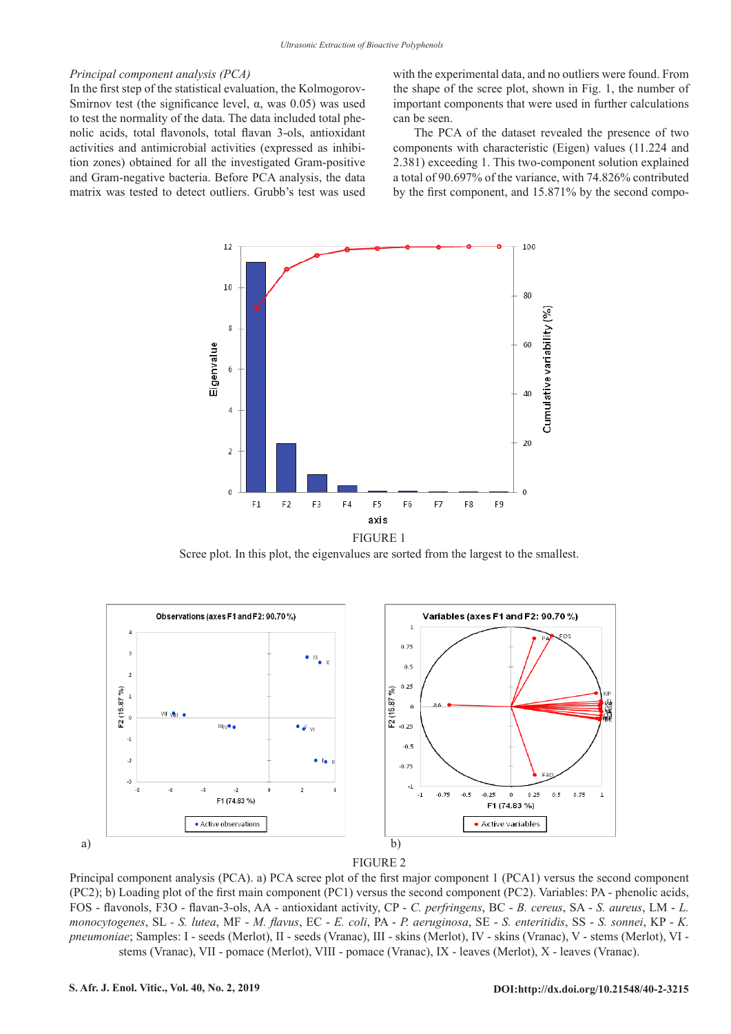#### *Principal component analysis (PCA)*

In the first step of the statistical evaluation, the Kolmogorov-Smirnov test (the significance level,  $\alpha$ , was 0.05) was used to test the normality of the data. The data included total phenolic acids, total flavonols, total flavan 3-ols, antioxidant activities and antimicrobial activities (expressed as inhibition zones) obtained for all the investigated Gram-positive and Gram-negative bacteria. Before PCA analysis, the data matrix was tested to detect outliers. Grubb's test was used with the experimental data, and no outliers were found. From the shape of the scree plot, shown in Fig. 1, the number of important components that were used in further calculations can be seen.

The PCA of the dataset revealed the presence of two components with characteristic (Eigen) values (11.224 and 2.381) exceeding 1. This two-component solution explained a total of 90.697% of the variance, with 74.826% contributed by the first component, and 15.871% by the second compo-



Scree plot. In this plot, the eigenvalues are sorted from the largest to the smallest.





Principal component analysis (PCA). a) PCA scree plot of the first major component 1 (PCA1) versus the second component (PC2); b) Loading plot of the first main component (PC1) versus the second component (PC2). Variables: PA - phenolic acids, FOS - flavonols, F3O - flavan-3-ols, AA - antioxidant activity, CP - C. perfringens, BC - B. cereus, SA - S. aureus, LM - L. BC - *B. cereus*, SA - *S. aureus*, LM - *L. monocytogenes*, SL *- S. lutea*, MF - *M. flavus*, EC - *E. coli*, PA - *P. aeruginosa*, SE - *S. enteritidis*, SS - *S. sonnei*, KP - *K. pneumoniae*; Samples: I - seeds (Merlot), II - seeds (Vranac), *monocytogenes*, SL *- S. lutea*, MF - *M. flavus*, EC - *E. coli*, PA - *P. aeruginosa*, SE - *S. enteritidis*, SS - *S. sonnei*, KP - *K. pneumoniae*; Samples: I - seeds (Merlot), II - seeds (Vranac), III - skins (Merlot), IV - skins (Vranac), V - stems (Merlot), VI stems (Vranac), VII - pomace (Merlot), VIII - pomace (Vranac), IX - leaves (Merlot), X - leaves (Vranac).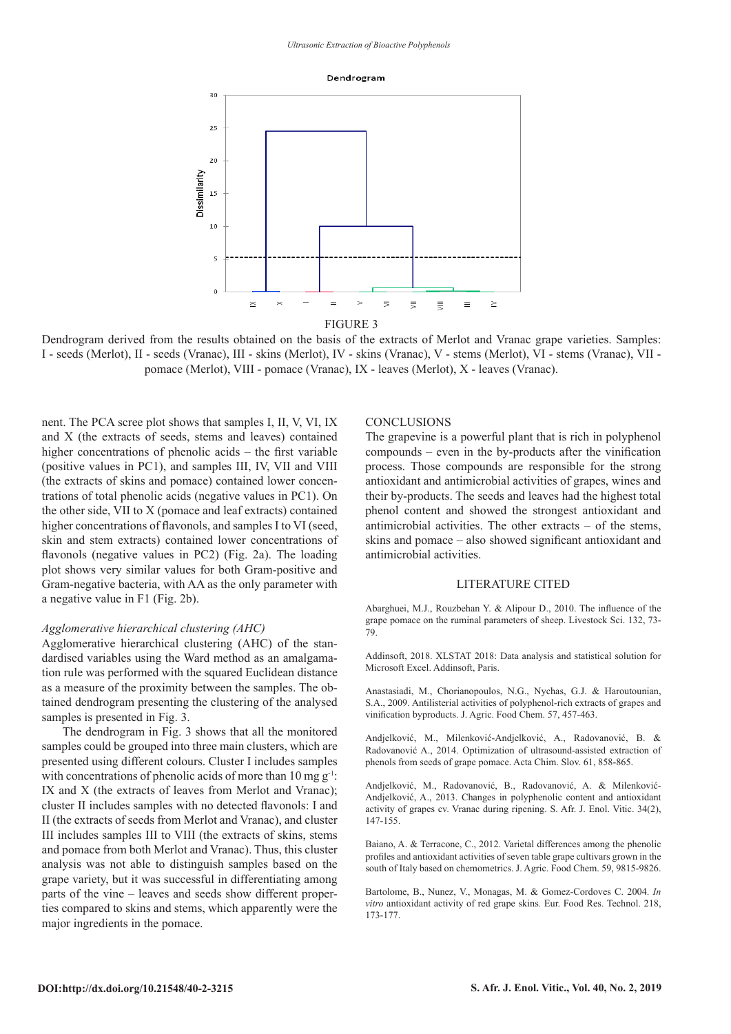#### Dendrogram



Dendrogram derived from the results obtained on the basis of the extracts of Merlot and Vranac grape varieties. Samples: I - seeds (Merlot), II - seeds (Vranac), III - skins (Merlot), IV - skins (Vranac), V - stems (Merlot), VI - stems (Vranac), VII pomace (Merlot), VIII - pomace (Vranac), IX - leaves (Merlot), X - leaves (Vranac).

nent. The PCA scree plot shows that samples I, II, V, VI, IX and X (the extracts of seeds, stems and leaves) contained higher concentrations of phenolic acids – the first variable (positive values in PC1), and samples III, IV, VII and VIII (the extracts of skins and pomace) contained lower concentrations of total phenolic acids (negative values in PC1). On the other side, VII to X (pomace and leaf extracts) contained higher concentrations of flavonols, and samples I to VI (seed, skin and stem extracts) contained lower concentrations of flavonols (negative values in PC2) (Fig. 2a). The loading plot shows very similar values for both Gram-positive and Gram-negative bacteria, with AA as the only parameter with a negative value in F1 (Fig. 2b).

### *Agglomerative hierarchical clustering (AHC)*

Agglomerative hierarchical clustering (AHC) of the standardised variables using the Ward method as an amalgamation rule was performed with the squared Euclidean distance as a measure of the proximity between the samples. The obtained dendrogram presenting the clustering of the analysed samples is presented in Fig. 3.

The dendrogram in Fig. 3 shows that all the monitored samples could be grouped into three main clusters, which are presented using different colours. Cluster I includes samples with concentrations of phenolic acids of more than 10 mg  $g^{-1}$ . IX and X (the extracts of leaves from Merlot and Vranac); cluster II includes samples with no detected flavonols: I and II (the extracts of seeds from Merlot and Vranac), and cluster III includes samples III to VIII (the extracts of skins, stems and pomace from both Merlot and Vranac). Thus, this cluster analysis was not able to distinguish samples based on the grape variety, but it was successful in differentiating among parts of the vine – leaves and seeds show different properties compared to skins and stems, which apparently were the major ingredients in the pomace.

#### **CONCLUSIONS**

The grapevine is a powerful plant that is rich in polyphenol compounds – even in the by-products after the vinification process. Those compounds are responsible for the strong antioxidant and antimicrobial activities of grapes, wines and their by-products. The seeds and leaves had the highest total phenol content and showed the strongest antioxidant and antimicrobial activities. The other extracts – of the stems, skins and pomace – also showed significant antioxidant and antimicrobial activities.

#### LITERATURE CITED

Abarghuei, M.J., Rouzbehan Y. & Alipour D., 2010. The influence of the grape pomace on the ruminal parameters of sheep. Livestock Sci. 132, 73- 79.

Addinsoft, 2018. XLSTAT 2018: Data analysis and statistical solution for Microsoft Excel. Addinsoft, Paris.

Anastasiadi, M., Chorianopoulos, N.G., Nychas, G.J. & Haroutounian, S.A., 2009. Antilisterial activities of polyphenol-rich extracts of grapes and vinification byproducts. J. Agric. Food Chem. 57, 457-463.

Andjelković, M., Milenković-Andjelković, A., Radovanović, B. & Radovanović A., 2014. Optimization of ultrasound-assisted extraction of phenols from seeds of grape pomace. Acta Chim. Slov. 61, 858-865.

Andjelković, M., Radovanović, B., Radovanović, A. & Milenković-Andjelković, A., 2013. Changes in polyphenolic content and antioxidant activity of grapes cv. Vranac during ripening. S. Afr. J. Enol. Vitic. 34(2), 147-155.

Baiano, A. & Terracone, C., 2012. Varietal differences among the phenolic profiles and antioxidant activities of seven table grape cultivars grown in the south of Italy based on chemometrics. J. Agric. Food Chem. 59, 9815-9826.

Bartolome, B., Nunez, V., Monagas, M. & Gomez-Cordoves C. 2004. *In vitro* antioxidant activity of red grape skins*.* Eur. Food Res. Technol. 218, 173-177.